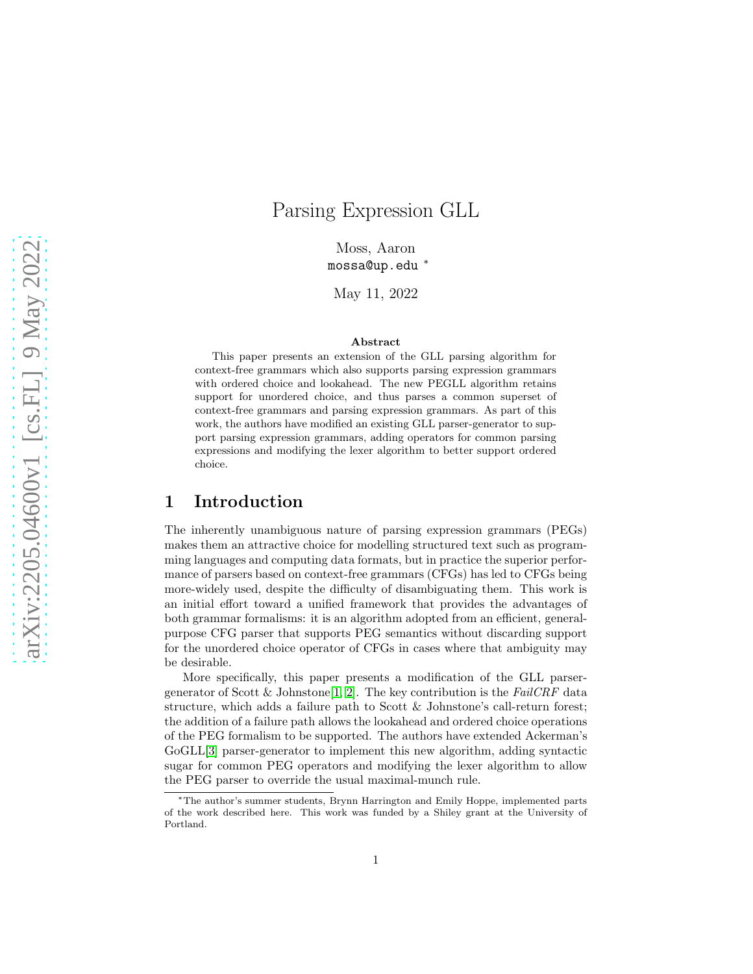# Parsing Expression GLL

Moss, Aaron mossa@up.edu <sup>∗</sup>

May 11, 2022

#### Abstract

This paper presents an extension of the GLL parsing algorithm for context-free grammars which also supports parsing expression grammars with ordered choice and lookahead. The new PEGLL algorithm retains support for unordered choice, and thus parses a common superset of context-free grammars and parsing expression grammars. As part of this work, the authors have modified an existing GLL parser-generator to support parsing expression grammars, adding operators for common parsing expressions and modifying the lexer algorithm to better support ordered choice.

### 1 Introduction

The inherently unambiguous nature of parsing expression grammars (PEGs) makes them an attractive choice for modelling structured text such as programming languages and computing data formats, but in practice the superior performance of parsers based on context-free grammars (CFGs) has led to CFGs being more-widely used, despite the difficulty of disambiguating them. This work is an initial effort toward a unified framework that provides the advantages of both grammar formalisms: it is an algorithm adopted from an efficient, generalpurpose CFG parser that supports PEG semantics without discarding support for the unordered choice operator of CFGs in cases where that ambiguity may be desirable.

More specifically, this paper presents a modification of the GLL parser-generator of Scott & Johnstone [\[1,](#page-10-0) [2\]](#page-11-0). The key contribution is the FailCRF data structure, which adds a failure path to Scott & Johnstone's call-return forest; the addition of a failure path allows the lookahead and ordered choice operations of the PEG formalism to be supported. The authors have extended Ackerman's GoGLL[\[3\]](#page-11-1) parser-generator to implement this new algorithm, adding syntactic sugar for common PEG operators and modifying the lexer algorithm to allow the PEG parser to override the usual maximal-munch rule.

<sup>∗</sup>The author's summer students, Brynn Harrington and Emily Hoppe, implemented parts of the work described here. This work was funded by a Shiley grant at the University of Portland.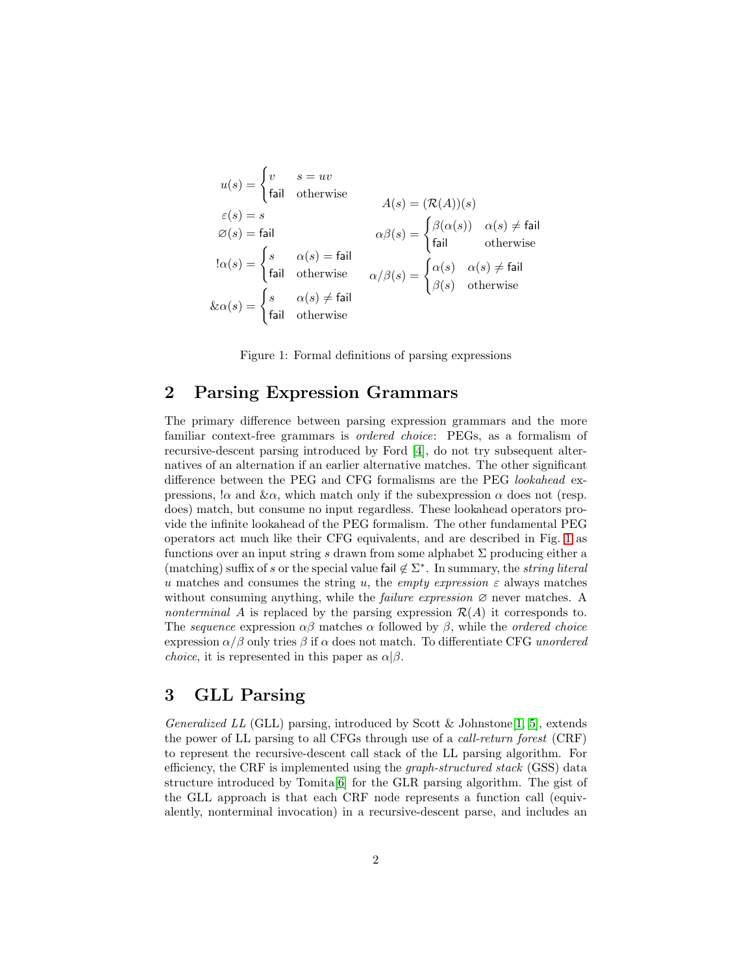$$
u(s) = \begin{cases} v & s = uv \\ \text{fail} & \text{otherwise} \end{cases}
$$
  
\n
$$
\varepsilon(s) = s
$$
  
\n
$$
\varnothing(s) = \text{fail}
$$
  
\n
$$
\alpha(s) = \begin{cases} s & \alpha(s) = \text{fail} \\ \text{fail} & \text{otherwise} \end{cases}
$$
  
\n
$$
\alpha(\beta) = \begin{cases} s & \alpha(s) = \text{fail} \\ \text{fail} & \text{otherwise} \end{cases}
$$
  
\n
$$
\& \alpha(s) = \begin{cases} s & \alpha(s) \neq \text{fail} \\ \text{fail} & \text{otherwise} \end{cases}
$$
  
\n
$$
\& \alpha(s) = \begin{cases} s & \alpha(s) \neq \text{fail} \\ \text{fail} & \text{otherwise} \end{cases}
$$
  
\n
$$
\& \alpha(s) = \begin{cases} s & \alpha(s) \neq \text{fail} \\ \text{fail} & \text{otherwise} \end{cases}
$$

<span id="page-1-0"></span>Figure 1: Formal definitions of parsing expressions

### 2 Parsing Expression Grammars

The primary difference between parsing expression grammars and the more familiar context-free grammars is ordered choice: PEGs, as a formalism of recursive-descent parsing introduced by Ford [\[4\]](#page-11-2), do not try subsequent alternatives of an alternation if an earlier alternative matches. The other significant difference between the PEG and CFG formalisms are the PEG lookahead expressions,  $\alpha$  and  $\&\alpha$ , which match only if the subexpression  $\alpha$  does not (resp. does) match, but consume no input regardless. These lookahead operators provide the infinite lookahead of the PEG formalism. The other fundamental PEG operators act much like their CFG equivalents, and are described in Fig. [1](#page-1-0) as functions over an input string s drawn from some alphabet  $\Sigma$  producing either a (matching) suffix of s or the special value fail  $\notin \Sigma^*$ . In summary, the string literal u matches and consumes the string u, the empty expression  $\varepsilon$  always matches without consuming anything, while the *failure expression*  $\varnothing$  never matches. A nonterminal A is replaced by the parsing expression  $\mathcal{R}(A)$  it corresponds to. The sequence expression  $\alpha\beta$  matches  $\alpha$  followed by  $\beta$ , while the *ordered choice* expression  $\alpha/\beta$  only tries  $\beta$  if  $\alpha$  does not match. To differentiate CFG unordered *choice*, it is represented in this paper as  $\alpha | \beta$ .

### 3 GLL Parsing

Generalized LL (GLL) parsing, introduced by Scott & Johnstone [\[1,](#page-10-0) [5\]](#page-11-3), extends the power of LL parsing to all CFGs through use of a call-return forest (CRF) to represent the recursive-descent call stack of the LL parsing algorithm. For efficiency, the CRF is implemented using the graph-structured stack (GSS) data structure introduced by Tomita[\[6\]](#page-11-4) for the GLR parsing algorithm. The gist of the GLL approach is that each CRF node represents a function call (equivalently, nonterminal invocation) in a recursive-descent parse, and includes an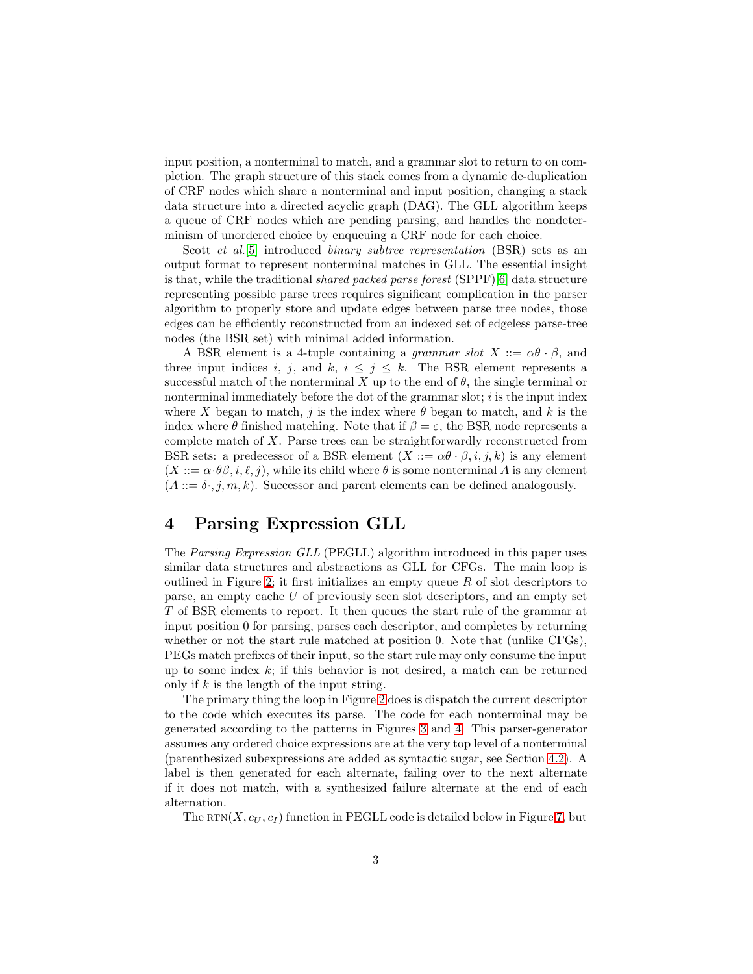input position, a nonterminal to match, and a grammar slot to return to on completion. The graph structure of this stack comes from a dynamic de-duplication of CRF nodes which share a nonterminal and input position, changing a stack data structure into a directed acyclic graph (DAG). The GLL algorithm keeps a queue of CRF nodes which are pending parsing, and handles the nondeterminism of unordered choice by enqueuing a CRF node for each choice.

Scott *et al.*[\[5\]](#page-11-3) introduced *binary subtree representation* (BSR) sets as an output format to represent nonterminal matches in GLL. The essential insight is that, while the traditional *shared packed parse forest*  $(SPPF)[6]$  $(SPPF)[6]$  data structure representing possible parse trees requires significant complication in the parser algorithm to properly store and update edges between parse tree nodes, those edges can be efficiently reconstructed from an indexed set of edgeless parse-tree nodes (the BSR set) with minimal added information.

A BSR element is a 4-tuple containing a *grammar slot*  $X ::= \alpha \theta \cdot \beta$ , and three input indices i, j, and k,  $i \leq j \leq k$ . The BSR element represents a successful match of the nonterminal X up to the end of  $\theta$ , the single terminal or nonterminal immediately before the dot of the grammar slot;  $i$  is the input index where X began to match, j is the index where  $\theta$  began to match, and k is the index where  $\theta$  finished matching. Note that if  $\beta = \varepsilon$ , the BSR node represents a complete match of X. Parse trees can be straightforwardly reconstructed from BSR sets: a predecessor of a BSR element  $(X ::= \alpha \theta \cdot \beta, i, j, k)$  is any element  $(X ::= \alpha \cdot \theta \beta, i, \ell, j)$ , while its child where  $\theta$  is some nonterminal A is any element  $(A ::= \delta \cdot, j, m, k)$ . Successor and parent elements can be defined analogously.

## 4 Parsing Expression GLL

The Parsing Expression GLL (PEGLL) algorithm introduced in this paper uses similar data structures and abstractions as GLL for CFGs. The main loop is outlined in Figure [2;](#page-3-0) it first initializes an empty queue  $R$  of slot descriptors to parse, an empty cache U of previously seen slot descriptors, and an empty set T of BSR elements to report. It then queues the start rule of the grammar at input position 0 for parsing, parses each descriptor, and completes by returning whether or not the start rule matched at position 0. Note that (unlike CFGs), PEGs match prefixes of their input, so the start rule may only consume the input up to some index  $k$ ; if this behavior is not desired, a match can be returned only if  $k$  is the length of the input string.

The primary thing the loop in Figure [2](#page-3-0) does is dispatch the current descriptor to the code which executes its parse. The code for each nonterminal may be generated according to the patterns in Figures [3](#page-3-1) and [4.](#page-3-2) This parser-generator assumes any ordered choice expressions are at the very top level of a nonterminal (parenthesized subexpressions are added as syntactic sugar, see Section [4.2\)](#page-8-0). A label is then generated for each alternate, failing over to the next alternate if it does not match, with a synthesized failure alternate at the end of each alternation.

The  $RTN(X, c_U, c_I)$  function in PEGLL code is detailed below in Figure [7,](#page-6-0) but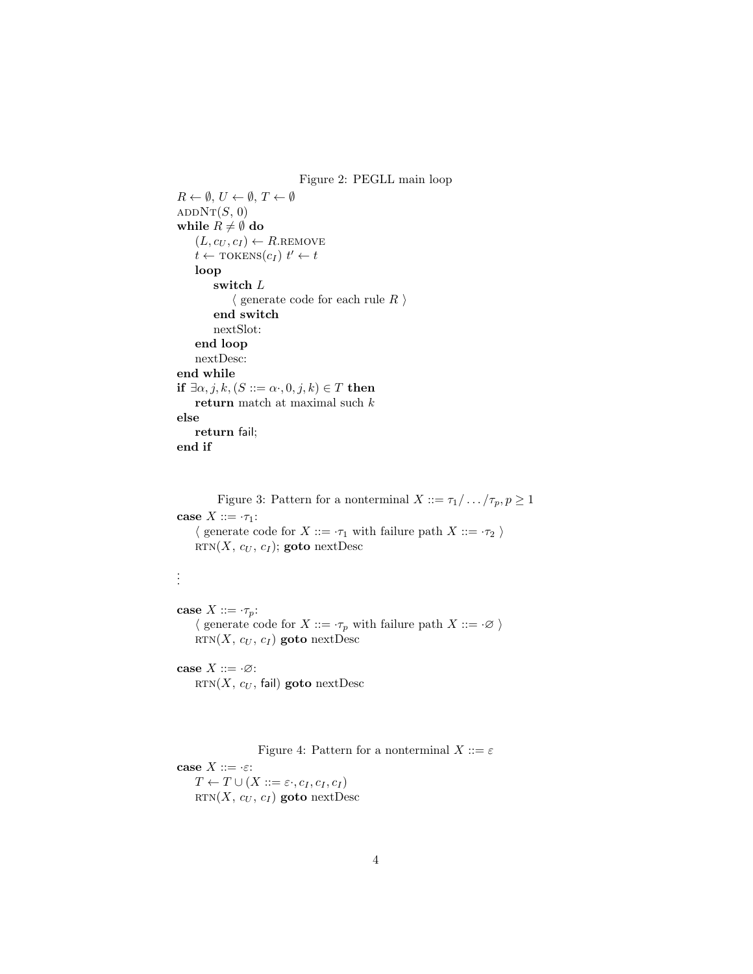<span id="page-3-0"></span>Figure 2: PEGLL main loop  $R \leftarrow \emptyset, U \leftarrow \emptyset, T \leftarrow \emptyset$  $ADDNT(S, 0)$ while  $R \neq \emptyset$  do  $(L, c_U, c_I) \leftarrow R$ .REMOVE  $t \leftarrow \text{TOKENS}(c_I) \ t' \leftarrow t$ loop switch  ${\cal L}$  $\langle$  generate code for each rule  $R$   $\rangle$ end switch nextSlot: end loop nextDesc: end while if  $\exists \alpha, j, k, (S ::= \alpha \cdot, 0, j, k) \in T$  then return match at maximal such k else return fail; end if

<span id="page-3-1"></span>Figure 3: Pattern for a nonterminal  $X ::= \tau_1 / \dots / \tau_p, p \ge 1$ case  $X ::= \tau_1$ :  $\langle$  generate code for  $X ::= \tau_1$  with failure path  $X ::= \tau_2$ RTN $(X, c_U, c_I)$ ; goto nextDesc

```
case X ::= \tau_p:
    \langle generate code for X ::= \neg \tau_p with failure path X ::= \neg \varnothing \rangleRTN(X, c_U, c_I) goto nextDesc
```
case  $X ::= \cdot \emptyset$ :  $RTN(X, c_U, \text{fail})$  goto nextDesc

. . .

<span id="page-3-2"></span>Figure 4: Pattern for a nonterminal  $X ::= \varepsilon$ case  $X ::= \cdot \varepsilon$ :  $T \leftarrow T \cup (X ::= \varepsilon., c_I, c_I, c_I)$ RTN $(X, c_U, c_I)$  goto nextDesc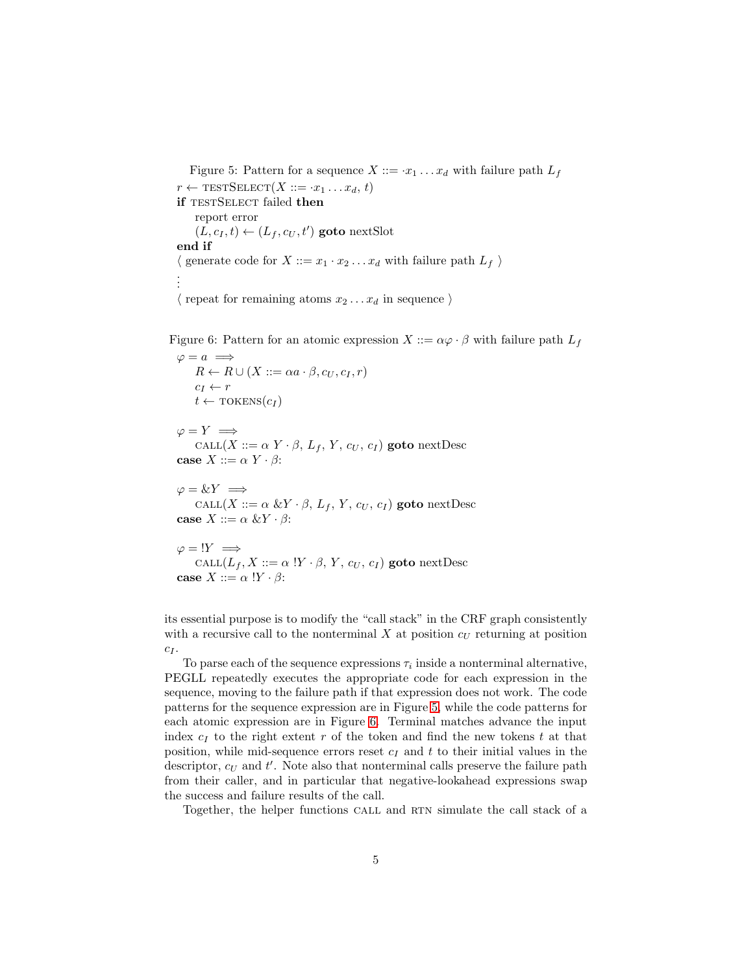<span id="page-4-0"></span>Figure 5: Pattern for a sequence  $X ::= x_1 \dots x_d$  with failure path  $L_f$  $r \leftarrow \text{TESTSELECT}(X ::= \cdot x_1 \dots x_d, t)$ if TESTSELECT failed then report error  $(L, c_I, t) \leftarrow (L_f, c_U, t')$  goto nextSlot end if  $\langle$  generate code for  $X ::= x_1 \cdot x_2 \dots x_d$  with failure path  $L_f$ . . .  $\langle$  repeat for remaining atoms  $x_2 \ldots x_d$  in sequence  $\rangle$ 

Figure 6: Pattern for an atomic expression  $X ::= \alpha \varphi \cdot \beta$  with failure path  $L_f$ 

<span id="page-4-1"></span> $\varphi = a \implies$  $R \leftarrow R \cup (X ::= \alpha a \cdot \beta, c_U, c_I, r)$  $c_I \leftarrow r$  $t \leftarrow \text{TOKENS}(c_I)$ 

 $\varphi = Y \implies$ CALL $(X ::= \alpha Y \cdot \beta, L_f, Y, c_U, c_I)$  goto nextDesc case  $X ::= \alpha Y \cdot \beta$ :

 $\varphi = \&Y \implies$ CALL $(X ::= \alpha \& Y \cdot \beta, L_f, Y, c_U, c_I)$  goto nextDesc case  $X ::= \alpha \& Y \cdot \beta$ :

$$
\varphi = !Y \implies
$$
  
CALL(L<sub>f</sub>, X ::=  $\alpha$  !Y ·  $\beta$ , Y,  $c_U$ ,  $c_I$ ) **goto** nextDesc  
case X ::=  $\alpha$  !Y ·  $\beta$ :

its essential purpose is to modify the "call stack" in the CRF graph consistently with a recursive call to the nonterminal  $X$  at position  $c<sub>U</sub>$  returning at position  $c_I$ .

To parse each of the sequence expressions  $\tau_i$  inside a nonterminal alternative, PEGLL repeatedly executes the appropriate code for each expression in the sequence, moving to the failure path if that expression does not work. The code patterns for the sequence expression are in Figure [5,](#page-4-0) while the code patterns for each atomic expression are in Figure [6.](#page-4-1) Terminal matches advance the input index  $c_I$  to the right extent r of the token and find the new tokens t at that position, while mid-sequence errors reset  $c_I$  and t to their initial values in the descriptor,  $c_U$  and  $t'$ . Note also that nonterminal calls preserve the failure path from their caller, and in particular that negative-lookahead expressions swap the success and failure results of the call.

Together, the helper functions CALL and RTN simulate the call stack of a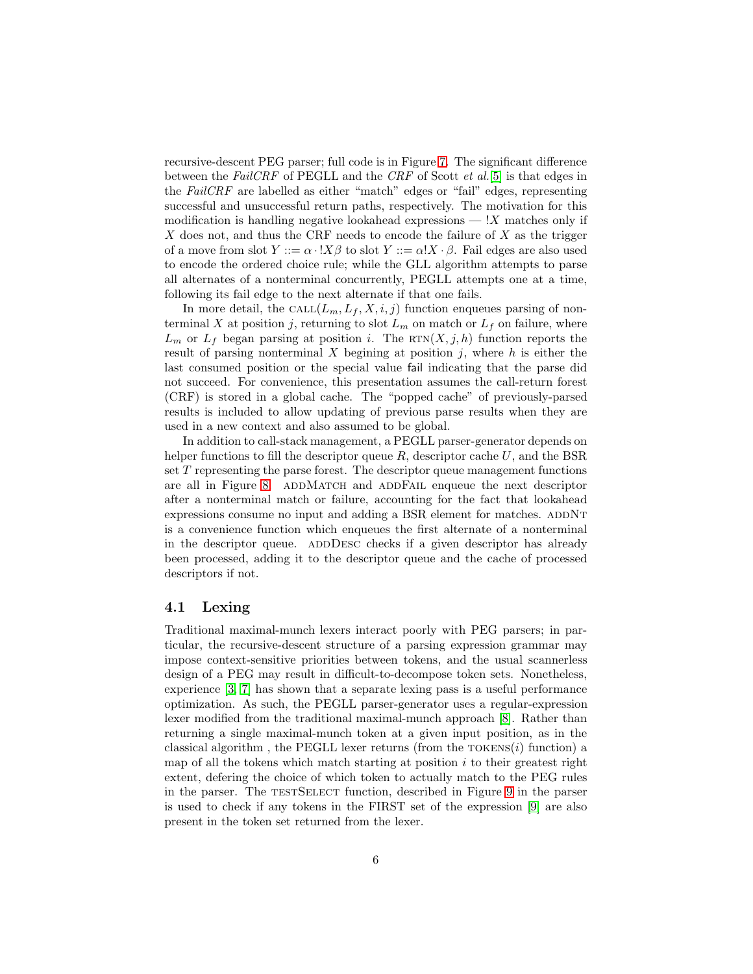recursive-descent PEG parser; full code is in Figure [7.](#page-6-0) The significant difference between the FailCRF of PEGLL and the CRF of Scott et al.[\[5\]](#page-11-3) is that edges in the FailCRF are labelled as either "match" edges or "fail" edges, representing successful and unsuccessful return paths, respectively. The motivation for this modification is handling negative lookahead expressions  $\overline{X}$  matches only if X does not, and thus the CRF needs to encode the failure of  $X$  as the trigger of a move from slot  $Y ::= \alpha \cdot !X\beta$  to slot  $Y ::= \alpha!X \cdot \beta$ . Fail edges are also used to encode the ordered choice rule; while the GLL algorithm attempts to parse all alternates of a nonterminal concurrently, PEGLL attempts one at a time, following its fail edge to the next alternate if that one fails.

In more detail, the CALL $(L_m, L_f, X, i, j)$  function enqueues parsing of nonterminal X at position j, returning to slot  $L_m$  on match or  $L_f$  on failure, where  $L_m$  or  $L_f$  began parsing at position i. The RTN $(X, j, h)$  function reports the result of parsing nonterminal X begining at position  $i$ , where h is either the last consumed position or the special value fail indicating that the parse did not succeed. For convenience, this presentation assumes the call-return forest (CRF) is stored in a global cache. The "popped cache" of previously-parsed results is included to allow updating of previous parse results when they are used in a new context and also assumed to be global.

In addition to call-stack management, a PEGLL parser-generator depends on helper functions to fill the descriptor queue  $R$ , descriptor cache  $U$ , and the BSR set T representing the parse forest. The descriptor queue management functions are all in Figure [8.](#page-7-0) ADDMATCH and ADDFAIL enqueue the next descriptor after a nonterminal match or failure, accounting for the fact that lookahead expressions consume no input and adding a BSR element for matches. ADDNT is a convenience function which enqueues the first alternate of a nonterminal in the descriptor queue. ADDDESC checks if a given descriptor has already been processed, adding it to the descriptor queue and the cache of processed descriptors if not.

### 4.1 Lexing

Traditional maximal-munch lexers interact poorly with PEG parsers; in particular, the recursive-descent structure of a parsing expression grammar may impose context-sensitive priorities between tokens, and the usual scannerless design of a PEG may result in difficult-to-decompose token sets. Nonetheless, experience [\[3,](#page-11-1) [7\]](#page-11-5) has shown that a separate lexing pass is a useful performance optimization. As such, the PEGLL parser-generator uses a regular-expression lexer modified from the traditional maximal-munch approach [\[8\]](#page-11-6). Rather than returning a single maximal-munch token at a given input position, as in the classical algorithm, the PEGLL lexer returns (from the  $T$ OKENS $(i)$  function) a map of all the tokens which match starting at position  $i$  to their greatest right extent, defering the choice of which token to actually match to the PEG rules in the parser. The TESTSELECT function, described in Figure [9](#page-7-1) in the parser is used to check if any tokens in the FIRST set of the expression [\[9\]](#page-11-7) are also present in the token set returned from the lexer.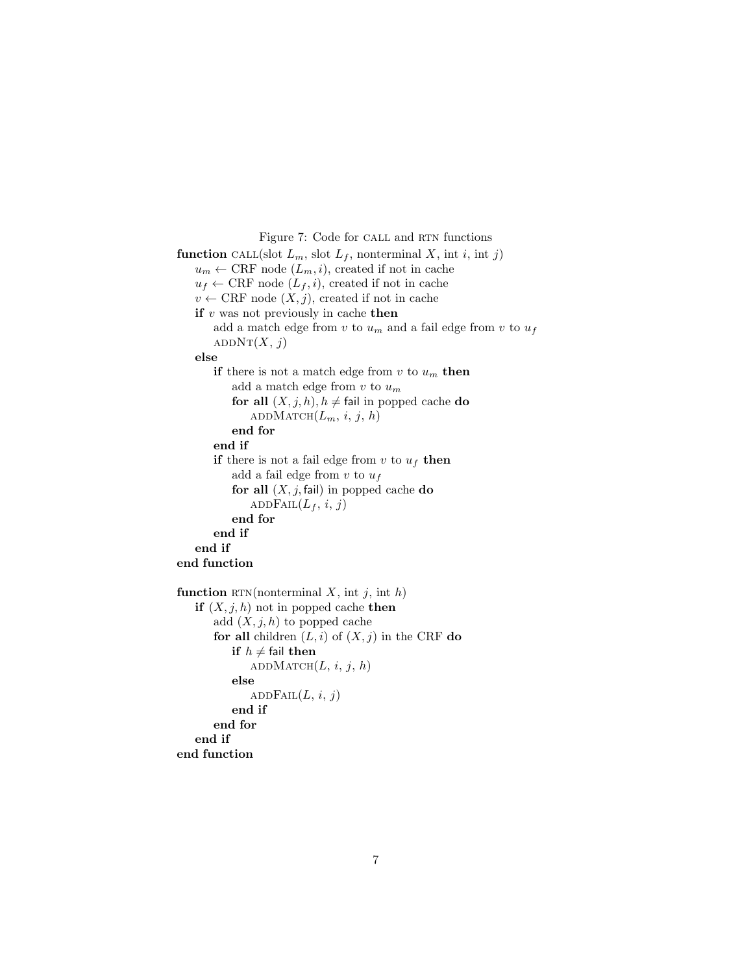<span id="page-6-0"></span>Figure 7: Code for CALL and RTN functions

```
function CALL(slot L_m, slot L_f, nonterminal X, int i, int j)
   u_m \leftarrow \text{CRF node } (L_m, i), created if not in cache
   u_f \leftarrow \text{CRF node } (L_f, i), created if not in cache
   v \leftarrow \text{CRF node } (X, j), created if not in cache
   if v was not previously in cache then
       add a match edge from v to u_m and a fail edge from v to u_fADDN(T(X, j))else
       if there is not a match edge from v to u_m then
          add a match edge from v to u_mfor all (X, j, h), h \neq fail in popped cache do
              ADDMATCH(L_m, i, j, h)end for
       end if
       if there is not a fail edge from v to u_f then
          add a fail edge from v to u_ffor all (X, j, \text{fail}) in popped cache do
              ADDFAIL(L_f, i, j)end for
       end if
   end if
end function
function RTN(nonterminal X, int j, int h)
   if (X, j, h) not in popped cache then
       add (X, j, h) to popped cache
       for all children (L, i) of (X, j) in the CRF do
          if h \neq fail then
              ADDMATCH(L, i, j, h)else
              ADDFAIL(L, i, j)end if
       end for
   end if
end function
```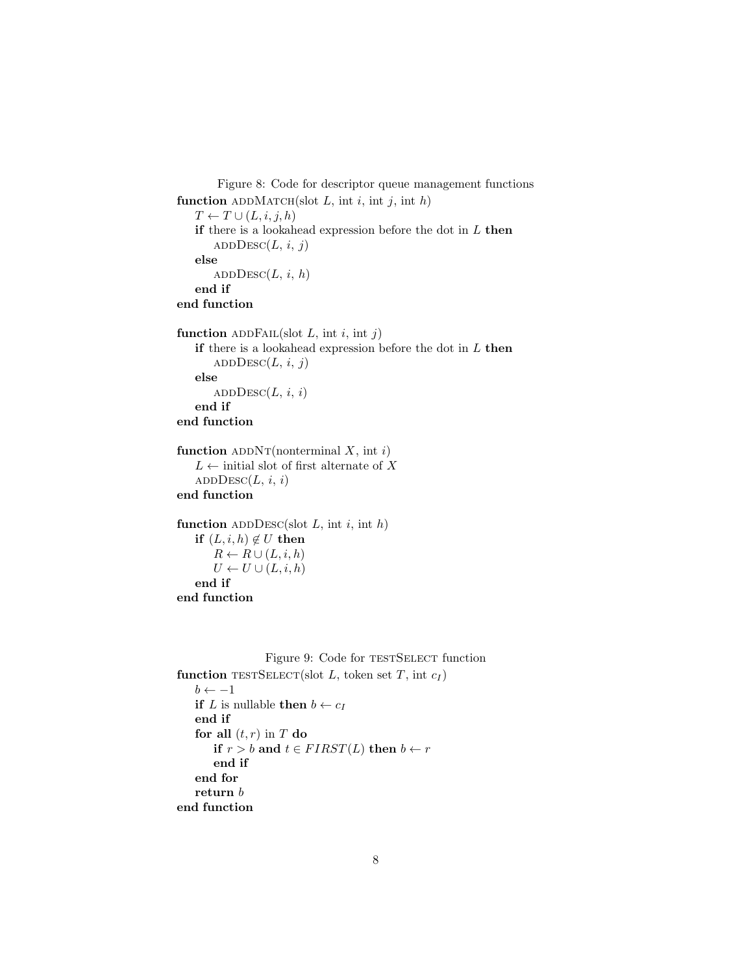```
Figure 8: Code for descriptor queue management functions
function ADDMATCH(slot L, int i, int j, int h)
   T \leftarrow T \cup (L, i, j, h)if there is a lookahead expression before the dot in L then
       ADDD\text{Esc}(L, i, j)else
       ADDEsc(L, i, h)end if
end function
function ADDFAIL(slot L, int i, int j)
   if there is a lookahead expression before the dot in L then
       ADDEsc(L, i, j)else
       ADDESC(L, i, i)end if
end function
function ADDNT(nonterminal X, int i)L \leftarrow initial slot of first alternate of XADD\text{Desc}(L, i, i)end function
function ADDDESC(slot L, int i, int h)
   if (L, i, h) \notin U then
       R \leftarrow R \cup (L, i, h)U \leftarrow U \cup (L, i, h)end if
end function
```

```
Figure 9: Code for TESTSELECT function
function TESTSELECT(slot L, token set T, int c_I)
   b \leftarrow -1if L is nullable then b \leftarrow c_Iend if
   for all (t, r) in T do
       if r > b and t \in FIRST(L) then b \leftarrow rend if
   end for
   return\boldsymbol{b}
```
end function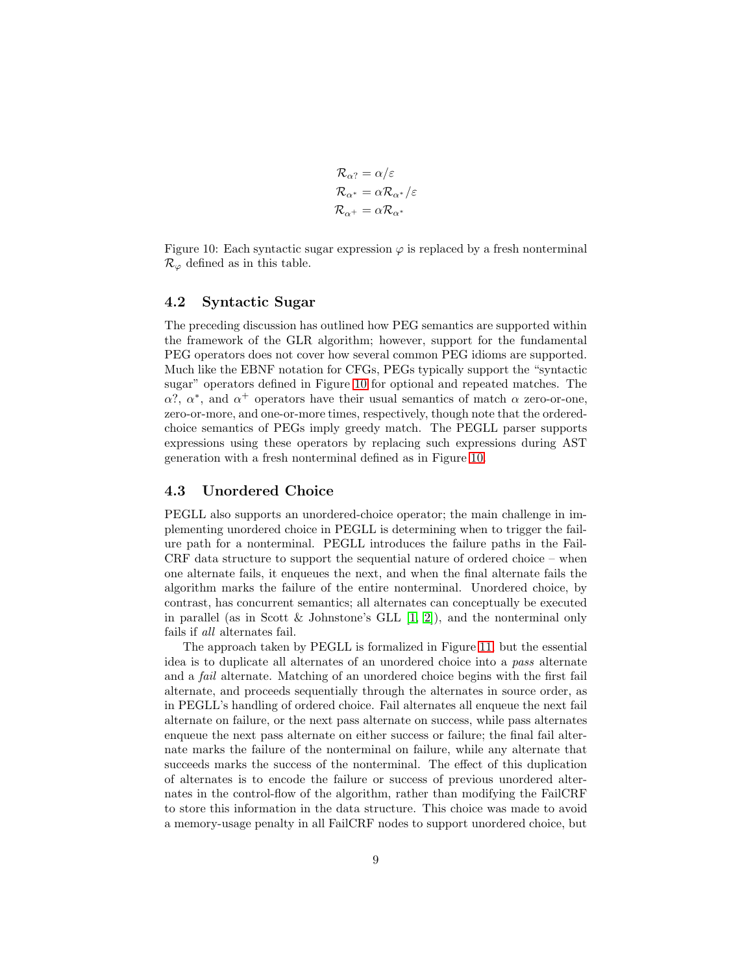$$
\mathcal{R}_{\alpha?} = \alpha/\varepsilon
$$
  

$$
\mathcal{R}_{\alpha^*} = \alpha \mathcal{R}_{\alpha^*}/\varepsilon
$$
  

$$
\mathcal{R}_{\alpha^+} = \alpha \mathcal{R}_{\alpha^*}
$$

<span id="page-8-1"></span>Figure 10: Each syntactic sugar expression  $\varphi$  is replaced by a fresh nonterminal  $\mathcal{R}_{\varphi}$  defined as in this table.

#### <span id="page-8-0"></span>4.2 Syntactic Sugar

The preceding discussion has outlined how PEG semantics are supported within the framework of the GLR algorithm; however, support for the fundamental PEG operators does not cover how several common PEG idioms are supported. Much like the EBNF notation for CFGs, PEGs typically support the "syntactic sugar" operators defined in Figure [10](#page-8-1) for optional and repeated matches. The  $\alpha$ <sup>7</sup>,  $\alpha$ <sup>\*</sup>, and  $\alpha$ <sup>+</sup> operators have their usual semantics of match  $\alpha$  zero-or-one, zero-or-more, and one-or-more times, respectively, though note that the orderedchoice semantics of PEGs imply greedy match. The PEGLL parser supports expressions using these operators by replacing such expressions during AST generation with a fresh nonterminal defined as in Figure [10.](#page-8-1)

#### 4.3 Unordered Choice

PEGLL also supports an unordered-choice operator; the main challenge in implementing unordered choice in PEGLL is determining when to trigger the failure path for a nonterminal. PEGLL introduces the failure paths in the Fail-CRF data structure to support the sequential nature of ordered choice – when one alternate fails, it enqueues the next, and when the final alternate fails the algorithm marks the failure of the entire nonterminal. Unordered choice, by contrast, has concurrent semantics; all alternates can conceptually be executed in parallel (as in Scott & Johnstone's GLL  $[1, 2]$  $[1, 2]$ ), and the nonterminal only fails if all alternates fail.

The approach taken by PEGLL is formalized in Figure [11,](#page-9-0) but the essential idea is to duplicate all alternates of an unordered choice into a pass alternate and a fail alternate. Matching of an unordered choice begins with the first fail alternate, and proceeds sequentially through the alternates in source order, as in PEGLL's handling of ordered choice. Fail alternates all enqueue the next fail alternate on failure, or the next pass alternate on success, while pass alternates enqueue the next pass alternate on either success or failure; the final fail alternate marks the failure of the nonterminal on failure, while any alternate that succeeds marks the success of the nonterminal. The effect of this duplication of alternates is to encode the failure or success of previous unordered alternates in the control-flow of the algorithm, rather than modifying the FailCRF to store this information in the data structure. This choice was made to avoid a memory-usage penalty in all FailCRF nodes to support unordered choice, but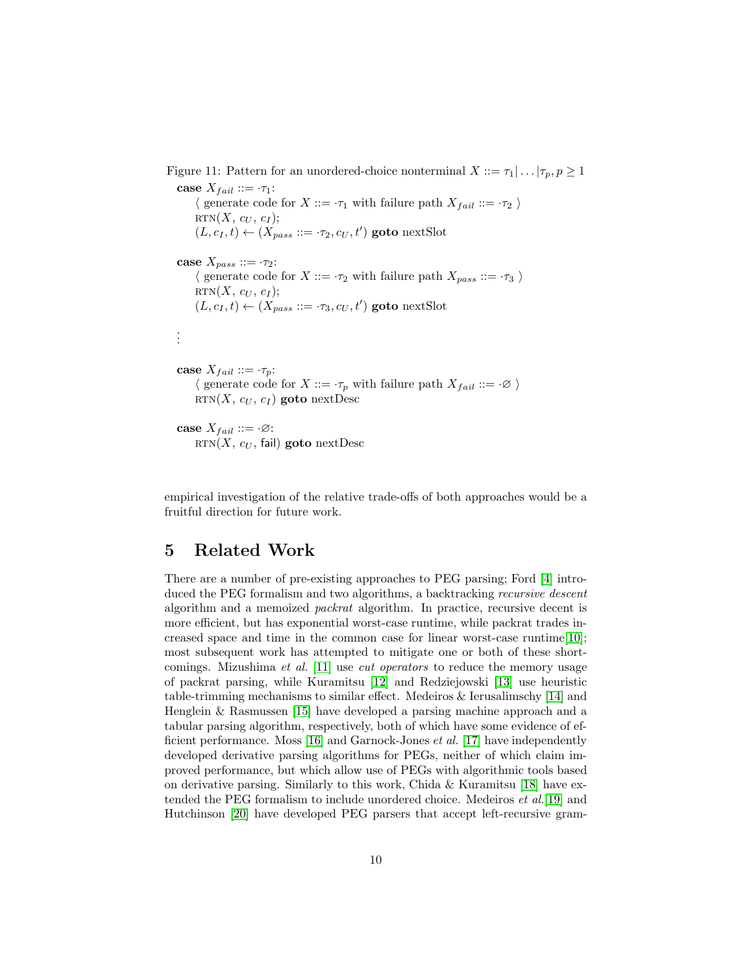<span id="page-9-0"></span>Figure 11: Pattern for an unordered-choice nonterminal  $X := \tau_1 | \dots | \tau_p, p \geq 1$ case  $X_{fail} ::= \tau_1$ :  $\langle$  generate code for  $X ::= \tau_1$  with failure path  $X_{fail} ::= \tau_2 \rangle$  $RTN(X, c_U, c_I);$  $(L, c_I, t) \leftarrow (X_{pass} ::= \cdot \tau_2, c_U, t')$  goto nextSlot case  $X_{pass} ::= \tau_2$ :  $\langle$  generate code for  $X ::= \cdot \tau_2$  with failure path  $X_{pass} ::= \cdot \tau_3$   $\rangle$  $RTN(X, c_U, c_I);$  $(L, c_I, t) \leftarrow (X_{pass} ::= \tau_3, c_U, t')$  goto nextSlot . . . case  $X_{fail} ::= \tau_p$ :  $\langle$  generate code for  $X ::= \tau_p$  with failure path  $X_{fail} ::= \cdot \emptyset$ RTN $(X, c_U, c_I)$  goto nextDesc case  $X_{fail} ::= \cdot \emptyset$ :  $RTN(X, c_U, \text{fail})$  goto nextDesc

empirical investigation of the relative trade-offs of both approaches would be a fruitful direction for future work.

### 5 Related Work

There are a number of pre-existing approaches to PEG parsing; Ford [\[4\]](#page-11-2) introduced the PEG formalism and two algorithms, a backtracking recursive descent algorithm and a memoized packrat algorithm. In practice, recursive decent is more efficient, but has exponential worst-case runtime, while packrat trades increased space and time in the common case for linear worst-case runtime[\[10\]](#page-11-8); most subsequent work has attempted to mitigate one or both of these shortcomings. Mizushima *et al.* [\[11\]](#page-11-9) use *cut operators* to reduce the memory usage of packrat parsing, while Kuramitsu [\[12\]](#page-11-10) and Redziejowski [\[13\]](#page-11-11) use heuristic table-trimming mechanisms to similar effect. Medeiros & Ierusalimschy [\[14\]](#page-11-12) and Henglein & Rasmussen [\[15\]](#page-11-13) have developed a parsing machine approach and a tabular parsing algorithm, respectively, both of which have some evidence of efficient performance. Moss [\[16\]](#page-12-0) and Garnock-Jones et al. [\[17\]](#page-12-1) have independently developed derivative parsing algorithms for PEGs, neither of which claim improved performance, but which allow use of PEGs with algorithmic tools based on derivative parsing. Similarly to this work, Chida & Kuramitsu [\[18\]](#page-12-2) have extended the PEG formalism to include unordered choice. Medeiros et al.[\[19\]](#page-12-3) and Hutchinson [\[20\]](#page-12-4) have developed PEG parsers that accept left-recursive gram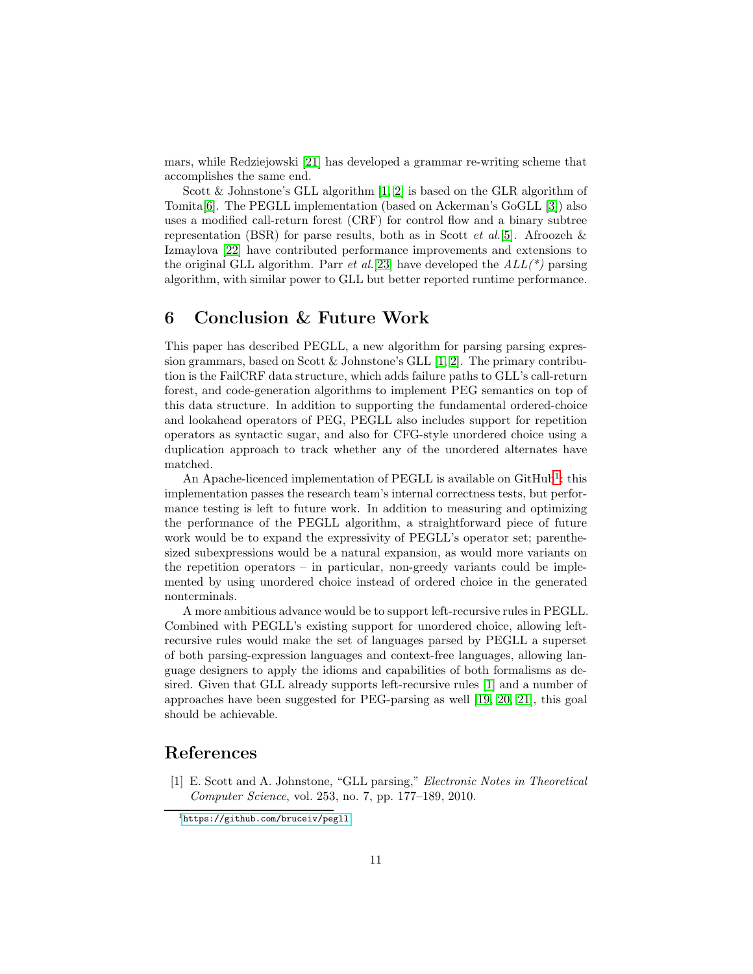mars, while Redziejowski [\[21\]](#page-12-5) has developed a grammar re-writing scheme that accomplishes the same end.

Scott & Johnstone's GLL algorithm  $[1, 2]$  $[1, 2]$  is based on the GLR algorithm of Tomita[\[6\]](#page-11-4). The PEGLL implementation (based on Ackerman's GoGLL [\[3\]](#page-11-1)) also uses a modified call-return forest (CRF) for control flow and a binary subtree representation (BSR) for parse results, both as in Scott *et al.*[\[5\]](#page-11-3). Afroozeh  $\&$ Izmaylova [\[22\]](#page-12-6) have contributed performance improvements and extensions to the original GLL algorithm. Parr *et al.*[\[23\]](#page-12-7) have developed the  $ALL(*)$  parsing algorithm, with similar power to GLL but better reported runtime performance.

### 6 Conclusion & Future Work

This paper has described PEGLL, a new algorithm for parsing parsing expression grammars, based on Scott  $\&$  Johnstone's GLL [\[1,](#page-10-0) [2\]](#page-11-0). The primary contribution is the FailCRF data structure, which adds failure paths to GLL's call-return forest, and code-generation algorithms to implement PEG semantics on top of this data structure. In addition to supporting the fundamental ordered-choice and lookahead operators of PEG, PEGLL also includes support for repetition operators as syntactic sugar, and also for CFG-style unordered choice using a duplication approach to track whether any of the unordered alternates have matched.

An Apache-licenced implementation of PEGLL is available on GitHub<sup>[1](#page-10-1)</sup>; this implementation passes the research team's internal correctness tests, but performance testing is left to future work. In addition to measuring and optimizing the performance of the PEGLL algorithm, a straightforward piece of future work would be to expand the expressivity of PEGLL's operator set; parenthesized subexpressions would be a natural expansion, as would more variants on the repetition operators – in particular, non-greedy variants could be implemented by using unordered choice instead of ordered choice in the generated nonterminals.

A more ambitious advance would be to support left-recursive rules in PEGLL. Combined with PEGLL's existing support for unordered choice, allowing leftrecursive rules would make the set of languages parsed by PEGLL a superset of both parsing-expression languages and context-free languages, allowing language designers to apply the idioms and capabilities of both formalisms as desired. Given that GLL already supports left-recursive rules [\[1\]](#page-10-0) and a number of approaches have been suggested for PEG-parsing as well [\[19,](#page-12-3) [20,](#page-12-4) [21\]](#page-12-5), this goal should be achievable.

### <span id="page-10-0"></span>References

[1] E. Scott and A. Johnstone, "GLL parsing," Electronic Notes in Theoretical Computer Science, vol. 253, no. 7, pp. 177–189, 2010.

<span id="page-10-1"></span><sup>1</sup><https://github.com/bruceiv/pegll>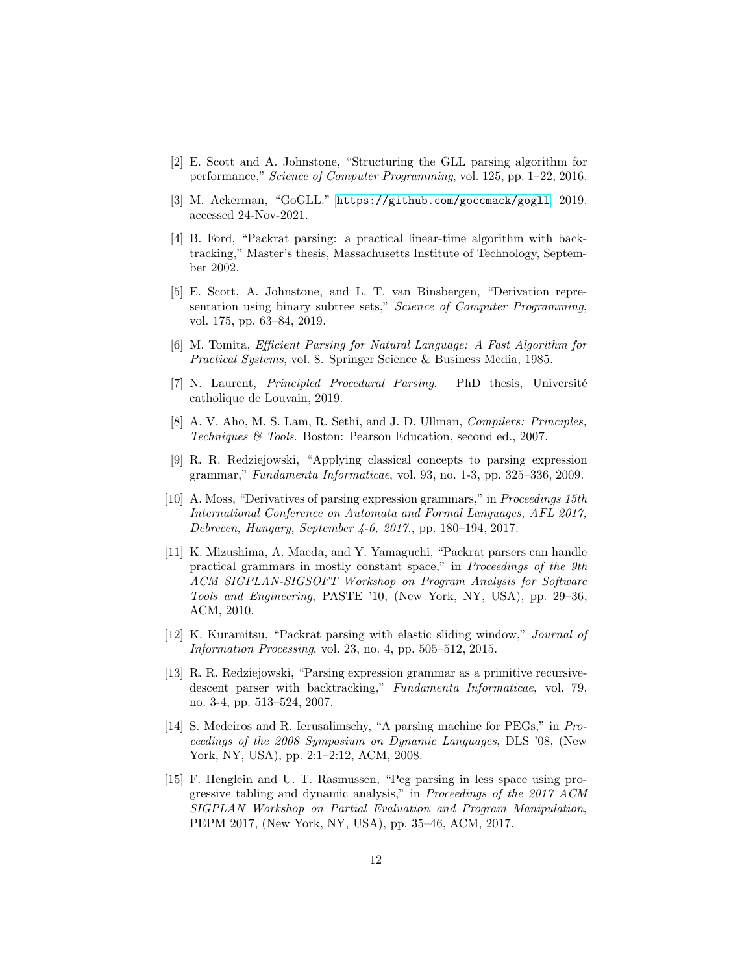- <span id="page-11-1"></span><span id="page-11-0"></span>[2] E. Scott and A. Johnstone, "Structuring the GLL parsing algorithm for performance," Science of Computer Programming, vol. 125, pp. 1–22, 2016.
- <span id="page-11-2"></span>[3] M. Ackerman, "GoGLL." <https://github.com/goccmack/gogll>, 2019. accessed 24-Nov-2021.
- [4] B. Ford, "Packrat parsing: a practical linear-time algorithm with backtracking," Master's thesis, Massachusetts Institute of Technology, September 2002.
- <span id="page-11-3"></span>[5] E. Scott, A. Johnstone, and L. T. van Binsbergen, "Derivation representation using binary subtree sets," Science of Computer Programming, vol. 175, pp. 63–84, 2019.
- <span id="page-11-4"></span>[6] M. Tomita, Efficient Parsing for Natural Language: A Fast Algorithm for Practical Systems, vol. 8. Springer Science & Business Media, 1985.
- <span id="page-11-5"></span>[7] N. Laurent, *Principled Procedural Parsing*. PhD thesis, Université catholique de Louvain, 2019.
- <span id="page-11-6"></span>[8] A. V. Aho, M. S. Lam, R. Sethi, and J. D. Ullman, Compilers: Principles, Techniques & Tools. Boston: Pearson Education, second ed., 2007.
- <span id="page-11-7"></span>[9] R. R. Redziejowski, "Applying classical concepts to parsing expression grammar," Fundamenta Informaticae, vol. 93, no. 1-3, pp. 325–336, 2009.
- <span id="page-11-8"></span>[10] A. Moss, "Derivatives of parsing expression grammars," in Proceedings 15th International Conference on Automata and Formal Languages, AFL 2017, Debrecen, Hungary, September 4-6, 2017., pp. 180–194, 2017.
- <span id="page-11-9"></span>[11] K. Mizushima, A. Maeda, and Y. Yamaguchi, "Packrat parsers can handle practical grammars in mostly constant space," in Proceedings of the 9th ACM SIGPLAN-SIGSOFT Workshop on Program Analysis for Software Tools and Engineering, PASTE '10, (New York, NY, USA), pp. 29–36, ACM, 2010.
- <span id="page-11-10"></span>[12] K. Kuramitsu, "Packrat parsing with elastic sliding window," Journal of Information Processing, vol. 23, no. 4, pp. 505–512, 2015.
- <span id="page-11-11"></span>[13] R. R. Redziejowski, "Parsing expression grammar as a primitive recursivedescent parser with backtracking," Fundamenta Informaticae, vol. 79, no. 3-4, pp. 513–524, 2007.
- <span id="page-11-12"></span>[14] S. Medeiros and R. Ierusalimschy, "A parsing machine for PEGs," in Proceedings of the 2008 Symposium on Dynamic Languages, DLS '08, (New York, NY, USA), pp. 2:1–2:12, ACM, 2008.
- <span id="page-11-13"></span>[15] F. Henglein and U. T. Rasmussen, "Peg parsing in less space using progressive tabling and dynamic analysis," in Proceedings of the 2017 ACM SIGPLAN Workshop on Partial Evaluation and Program Manipulation, PEPM 2017, (New York, NY, USA), pp. 35–46, ACM, 2017.